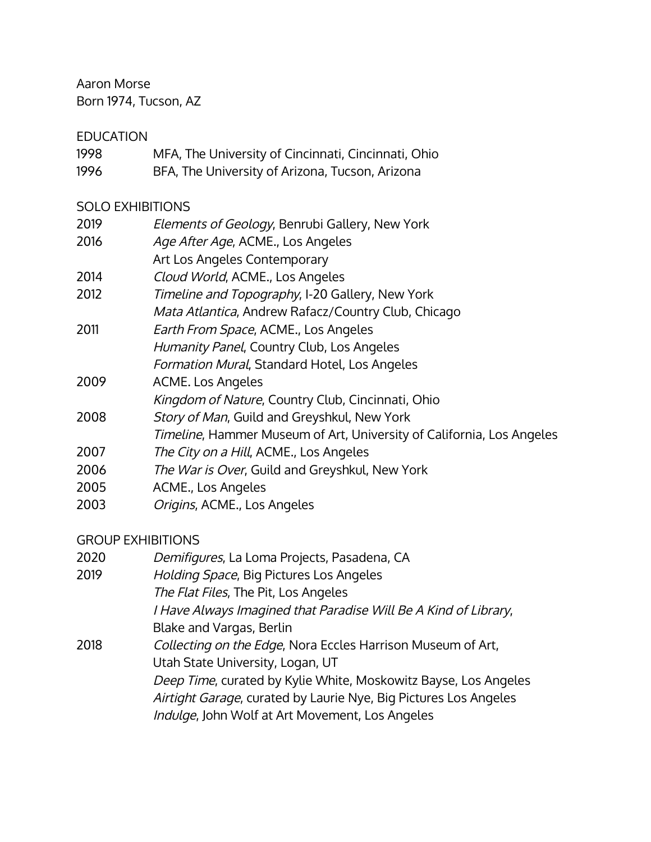Aaron Morse

Born 1974, Tucson, AZ

## EDUCATION

| 1998 | MFA, The University of Cincinnati, Cincinnati, Ohio |
|------|-----------------------------------------------------|
| 1996 | BFA, The University of Arizona, Tucson, Arizona     |

## SOLO EXHIBITIONS

| 2019 | Elements of Geology, Benrubi Gallery, New York                        |
|------|-----------------------------------------------------------------------|
| 2016 | Age After Age, ACME., Los Angeles                                     |
|      | Art Los Angeles Contemporary                                          |
| 2014 | Cloud World, ACME., Los Angeles                                       |
| 2012 | Timeline and Topography, I-20 Gallery, New York                       |
|      | Mata Atlantica, Andrew Rafacz/Country Club, Chicago                   |
| 2011 | Earth From Space, ACME., Los Angeles                                  |
|      | Humanity Panel, Country Club, Los Angeles                             |
|      | Formation Mural, Standard Hotel, Los Angeles                          |
| 2009 | ACME. Los Angeles                                                     |
|      | Kingdom of Nature, Country Club, Cincinnati, Ohio                     |
| 2008 | Story of Man, Guild and Greyshkul, New York                           |
|      | Timeline, Hammer Museum of Art, University of California, Los Angeles |
| 2007 | The City on a Hill, ACME., Los Angeles                                |
| 2006 | The War is Over, Guild and Greyshkul, New York                        |
| 2005 | ACME., Los Angeles                                                    |
| 2003 | Origins, ACME., Los Angeles                                           |

#### GROUP EXHIBITIONS

| 2020 | Demifigures, La Loma Projects, Pasadena, CA                      |
|------|------------------------------------------------------------------|
| 2019 | Holding Space, Big Pictures Los Angeles                          |
|      | The Flat Files, The Pit, Los Angeles                             |
|      | I Have Always Imagined that Paradise Will Be A Kind of Library,  |
|      | Blake and Vargas, Berlin                                         |
| 2018 | Collecting on the Edge, Nora Eccles Harrison Museum of Art,      |
|      | Utah State University, Logan, UT                                 |
|      | Deep Time, curated by Kylie White, Moskowitz Bayse, Los Angeles  |
|      | Airtight Garage, curated by Laurie Nye, Big Pictures Los Angeles |
|      | Indulge, John Wolf at Art Movement, Los Angeles                  |
|      |                                                                  |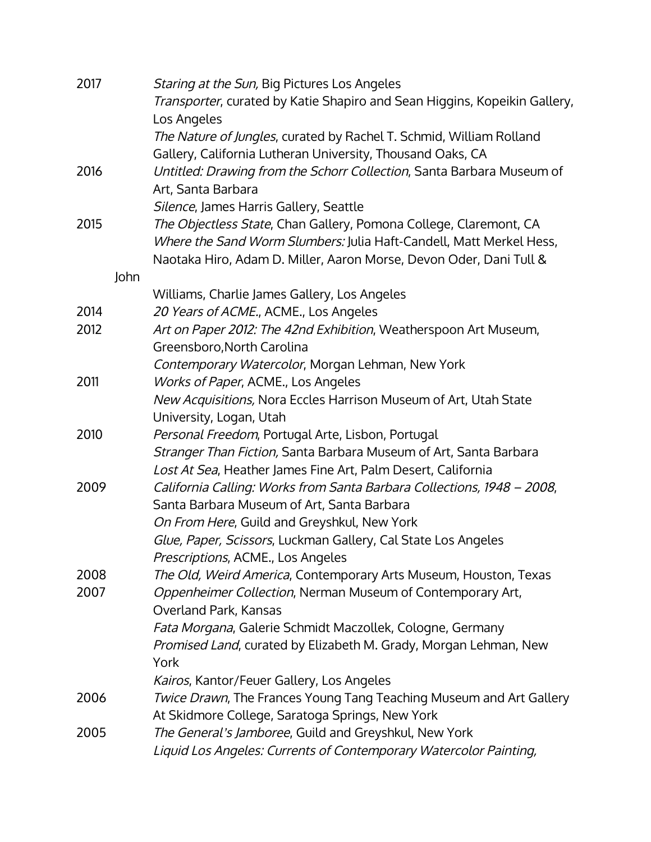| 2017 |      | Staring at the Sun, Big Pictures Los Angeles                              |
|------|------|---------------------------------------------------------------------------|
|      |      | Transporter, curated by Katie Shapiro and Sean Higgins, Kopeikin Gallery, |
|      |      | Los Angeles                                                               |
|      |      | The Nature of Jungles, curated by Rachel T. Schmid, William Rolland       |
|      |      | Gallery, California Lutheran University, Thousand Oaks, CA                |
| 2016 |      | Untitled: Drawing from the Schorr Collection, Santa Barbara Museum of     |
|      |      | Art, Santa Barbara                                                        |
|      |      | Silence, James Harris Gallery, Seattle                                    |
| 2015 |      | The Objectless State, Chan Gallery, Pomona College, Claremont, CA         |
|      |      | Where the Sand Worm Slumbers: Julia Haft-Candell, Matt Merkel Hess,       |
|      |      | Naotaka Hiro, Adam D. Miller, Aaron Morse, Devon Oder, Dani Tull &        |
|      | John |                                                                           |
|      |      | Williams, Charlie James Gallery, Los Angeles                              |
| 2014 |      | 20 Years of ACME., ACME., Los Angeles                                     |
| 2012 |      | Art on Paper 2012: The 42nd Exhibition, Weatherspoon Art Museum,          |
|      |      | Greensboro, North Carolina                                                |
|      |      | Contemporary Watercolor, Morgan Lehman, New York                          |
| 2011 |      | Works of Paper, ACME., Los Angeles                                        |
|      |      | New Acquisitions, Nora Eccles Harrison Museum of Art, Utah State          |
|      |      | University, Logan, Utah                                                   |
| 2010 |      | Personal Freedom, Portugal Arte, Lisbon, Portugal                         |
|      |      | Stranger Than Fiction, Santa Barbara Museum of Art, Santa Barbara         |
|      |      | Lost At Sea, Heather James Fine Art, Palm Desert, California              |
| 2009 |      | California Calling: Works from Santa Barbara Collections, 1948 – 2008,    |
|      |      | Santa Barbara Museum of Art, Santa Barbara                                |
|      |      | On From Here, Guild and Greyshkul, New York                               |
|      |      | Glue, Paper, Scissors, Luckman Gallery, Cal State Los Angeles             |
|      |      | Prescriptions, ACME., Los Angeles                                         |
| 2008 |      | The Old, Weird America, Contemporary Arts Museum, Houston, Texas          |
| 2007 |      | Oppenheimer Collection, Nerman Museum of Contemporary Art,                |
|      |      | Overland Park, Kansas                                                     |
|      |      | Fata Morgana, Galerie Schmidt Maczollek, Cologne, Germany                 |
|      |      | Promised Land, curated by Elizabeth M. Grady, Morgan Lehman, New          |
|      |      | York                                                                      |
|      |      | Kairos, Kantor/Feuer Gallery, Los Angeles                                 |
| 2006 |      | Twice Drawn, The Frances Young Tang Teaching Museum and Art Gallery       |
|      |      | At Skidmore College, Saratoga Springs, New York                           |
| 2005 |      | The General's Jamboree, Guild and Greyshkul, New York                     |
|      |      | Liquid Los Angeles: Currents of Contemporary Watercolor Painting,         |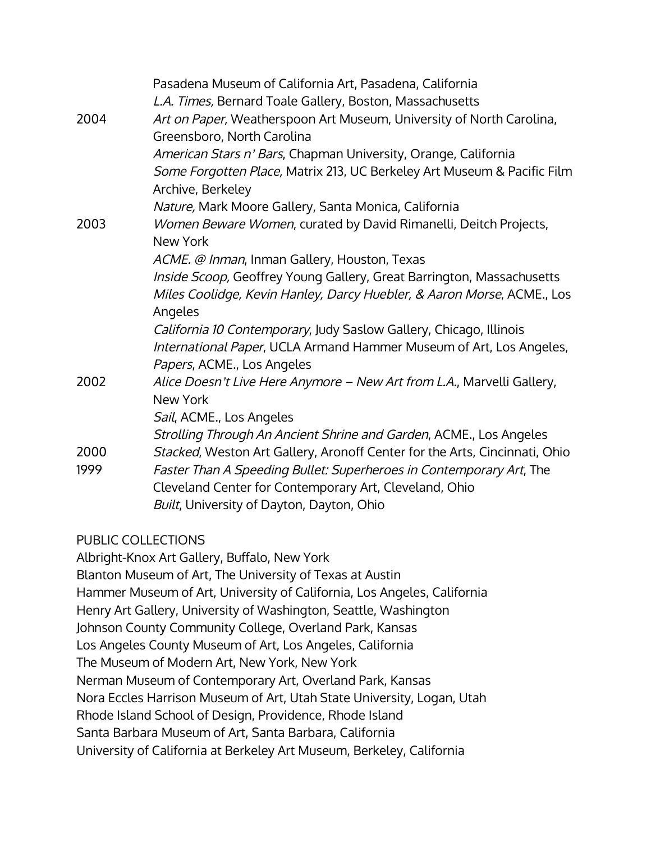|      | Pasadena Museum of California Art, Pasadena, California                    |
|------|----------------------------------------------------------------------------|
|      | L.A. Times, Bernard Toale Gallery, Boston, Massachusetts                   |
| 2004 | Art on Paper, Weatherspoon Art Museum, University of North Carolina,       |
|      | Greensboro, North Carolina                                                 |
|      | American Stars n' Bars, Chapman University, Orange, California             |
|      | Some Forgotten Place, Matrix 213, UC Berkeley Art Museum & Pacific Film    |
|      | Archive, Berkeley                                                          |
|      | Nature, Mark Moore Gallery, Santa Monica, California                       |
| 2003 | Women Beware Women, curated by David Rimanelli, Deitch Projects,           |
|      | New York                                                                   |
|      | ACME. @ Inman, Inman Gallery, Houston, Texas                               |
|      | Inside Scoop, Geoffrey Young Gallery, Great Barrington, Massachusetts      |
|      | Miles Coolidge, Kevin Hanley, Darcy Huebler, & Aaron Morse, ACME., Los     |
|      | Angeles                                                                    |
|      | California 10 Contemporary, Judy Saslow Gallery, Chicago, Illinois         |
|      | International Paper, UCLA Armand Hammer Museum of Art, Los Angeles,        |
|      | Papers, ACME., Los Angeles                                                 |
| 2002 | Alice Doesn't Live Here Anymore - New Art from L.A., Marvelli Gallery,     |
|      | New York                                                                   |
|      | Sail, ACME., Los Angeles                                                   |
|      | Strolling Through An Ancient Shrine and Garden, ACME., Los Angeles         |
| 2000 | Stacked, Weston Art Gallery, Aronoff Center for the Arts, Cincinnati, Ohio |
| 1999 | Faster Than A Speeding Bullet: Superheroes in Contemporary Art, The        |
|      | Cleveland Center for Contemporary Art, Cleveland, Ohio                     |
|      | Built, University of Dayton, Dayton, Ohio                                  |
|      |                                                                            |

### PUBLIC COLLECTIONS

Albright-Knox Art Gallery, Buffalo, New York Blanton Museum of Art, The University of Texas at Austin Hammer Museum of Art, University of California, Los Angeles, California Henry Art Gallery, University of Washington, Seattle, Washington Johnson County Community College, Overland Park, Kansas Los Angeles County Museum of Art, Los Angeles, California The Museum of Modern Art, New York, New York Nerman Museum of Contemporary Art, Overland Park, Kansas Nora Eccles Harrison Museum of Art, Utah State University, Logan, Utah Rhode Island School of Design, Providence, Rhode Island Santa Barbara Museum of Art, Santa Barbara, California University of California at Berkeley Art Museum, Berkeley, California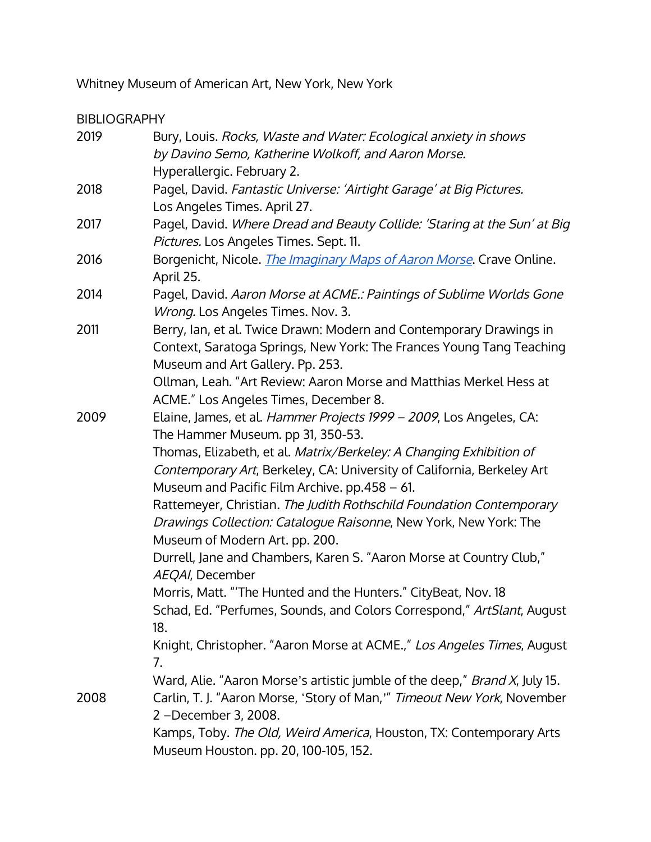Whitney Museum of American Art, New York, New York

# BIBLIOGRAPHY

| 2019 | Bury, Louis. Rocks, Waste and Water: Ecological anxiety in shows                               |
|------|------------------------------------------------------------------------------------------------|
|      | by Davino Semo, Katherine Wolkoff, and Aaron Morse.                                            |
|      | Hyperallergic. February 2.                                                                     |
| 2018 | Pagel, David. Fantastic Universe: 'Airtight Garage' at Big Pictures.                           |
|      | Los Angeles Times. April 27.                                                                   |
| 2017 | Pagel, David. Where Dread and Beauty Collide: 'Staring at the Sun' at Big                      |
|      | Pictures. Los Angeles Times. Sept. 11.                                                         |
| 2016 | Borgenicht, Nicole. <i>The Imaginary Maps of Aaron Morse</i> . Crave Online.<br>April 25.      |
| 2014 | Pagel, David. Aaron Morse at ACME.: Paintings of Sublime Worlds Gone                           |
|      | Wrong. Los Angeles Times. Nov. 3.                                                              |
| 2011 | Berry, Ian, et al. Twice Drawn: Modern and Contemporary Drawings in                            |
|      | Context, Saratoga Springs, New York: The Frances Young Tang Teaching                           |
|      | Museum and Art Gallery. Pp. 253.                                                               |
|      | Ollman, Leah. "Art Review: Aaron Morse and Matthias Merkel Hess at                             |
|      | ACME." Los Angeles Times, December 8.                                                          |
| 2009 | Elaine, James, et al. Hammer Projects 1999 - 2009, Los Angeles, CA:                            |
|      | The Hammer Museum. pp 31, 350-53.                                                              |
|      | Thomas, Elizabeth, et al. Matrix/Berkeley: A Changing Exhibition of                            |
|      | Contemporary Art, Berkeley, CA: University of California, Berkeley Art                         |
|      | Museum and Pacific Film Archive. pp.458 - 61.                                                  |
|      | Rattemeyer, Christian. The Judith Rothschild Foundation Contemporary                           |
|      | Drawings Collection: Catalogue Raisonne, New York, New York: The                               |
|      | Museum of Modern Art. pp. 200.                                                                 |
|      | Durrell, Jane and Chambers, Karen S. "Aaron Morse at Country Club,"                            |
|      | AEQAI, December                                                                                |
|      | Morris, Matt. "'The Hunted and the Hunters." CityBeat, Nov. 18                                 |
|      | Schad, Ed. "Perfumes, Sounds, and Colors Correspond," ArtSlant, August                         |
|      | 18.                                                                                            |
|      | Knight, Christopher. "Aaron Morse at ACME.," Los Angeles Times, August                         |
|      | 7.                                                                                             |
|      | Ward, Alie. "Aaron Morse's artistic jumble of the deep," Brand $X$ , July 15.                  |
| 2008 | Carlin, T. J. "Aaron Morse, 'Story of Man,'" Timeout New York, November<br>2-December 3, 2008. |
|      | Kamps, Toby. The Old, Weird America, Houston, TX: Contemporary Arts                            |
|      |                                                                                                |
|      | Museum Houston. pp. 20, 100-105, 152.                                                          |